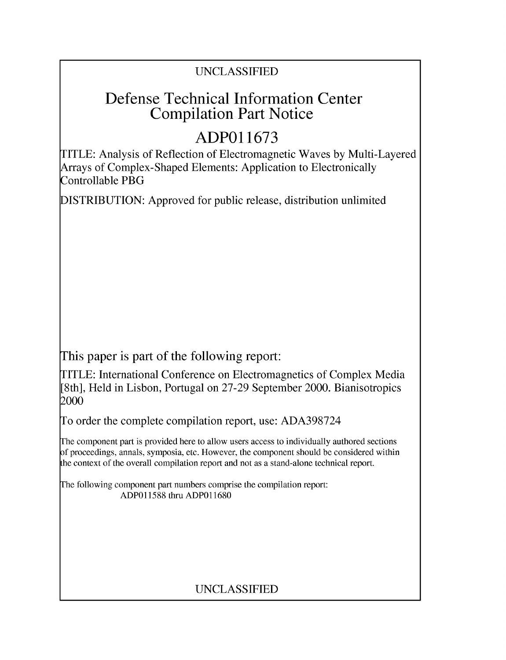### UNCLASSIFIED

## Defense Technical Information Center Compilation Part Notice

# **ADPO 11673**

TITLE: Analysis of Reflection of Electromagnetic Waves by Multi-Layered Arrays of Complex-Shaped Elements: Application to Electronically Controllable PBG

DISTRIBUTION: Approved for public release, distribution unlimited

This paper is part of the following report:

TITLE: International Conference on Electromagnetics of Complex Media [8th], Held in Lisbon, Portugal on 27-29 September 2000. Bianisotropics 2000

To order the complete compilation report, use: ADA398724

The component part is provided here to allow users access to individually authored sections f proceedings, annals, symposia, etc. However, the component should be considered within [he context of the overall compilation report and not as a stand-alone technical report.

The following component part numbers comprise the compilation report: ADP011588 thru ADP011680

### UNCLASSIFIED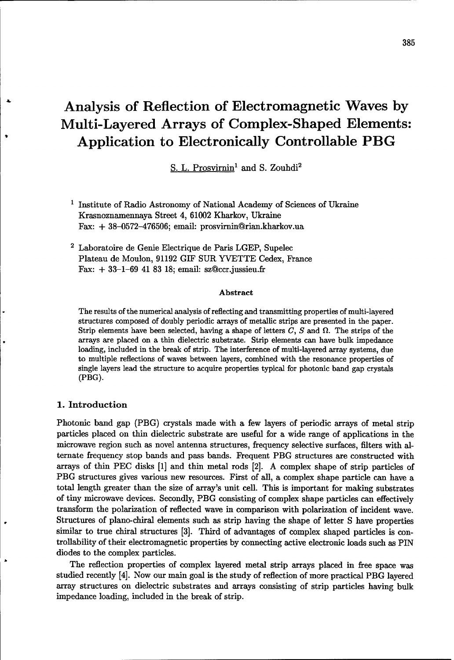# Analysis of Reflection of Electromagnetic Waves **by** Multi-Layered Arrays of Complex-Shaped Elements: Application to Electronically Controllable PBG

S. L. Prosvirnin' and S. Zouhdi2

- **1** Institute of Radio Astronomy of National Academy of Sciences of Ukraine Krasnoznamennaya Street 4, 61002 Kharkov, Ukraine Fax: + 38-0572-476506; email: prosvirnin@rian.kharkov.ua
- 2 Laboratoire de Genie Electrique de Paris LGEP, Supelec Plateau de Moulon, 91192 GIF SUR YVETTE Cedex, France Fax: + 33-1-69 41 83 18; email: sz@ccr.jussieu.fr

#### Abstract

The results of the numerical analysis of reflecting and transmitting properties of multi-layered structures composed of doubly periodic arrays of metallic strips are presented in the paper. Strip elements have been selected, having a shape of letters  $C$ ,  $S$  and  $\Omega$ . The strips of the arrays are placed on a thin dielectric substrate. Strip elements can have bulk impedance loading, included in the break of strip. The interference of multi-layered array systems, due to multiple reflections of waves between layers, combined with the resonance properties of single layers lead the structure to acquire properties typical for photonic band gap crystals (PBG).

#### 1. Introduction

Photonic band gap (PBG) crystals made with a few layers of periodic arrays of metal strip particles placed on thin dielectric substrate are useful for a wide range of applications in the microwave region such as novel antenna structures, frequency selective surfaces, filters with alternate frequency stop bands and pass bands. Frequent PBG structures are constructed with arrays of thin **PEC** disks [1] and thin metal rods [2]. A complex shape of strip particles of PBG structures gives various new resources. First of all, a complex shape particle can have a total length greater than the size of array's unit cell. This is important for making substrates of tiny microwave devices. Secondly, PBG consisting of complex shape particles can effectively transform the polarization of reflected wave in comparison with polarization of incident wave. Structures of plano-chiral elements such as strip having the shape of letter S have properties similar to true chiral structures [3]. Third of advantages of complex shaped particles is controllability of their electromagnetic properties by connecting active electronic loads such as PIN diodes to the complex particles.

The reflection properties of complex layered metal strip arrays placed in free space was studied recently [4]. Now our main goal is the study of reflection of more practical PBG layered array structures on dielectric substrates and arrays consisting of strip particles having bulk impedance loading, included in the break of strip.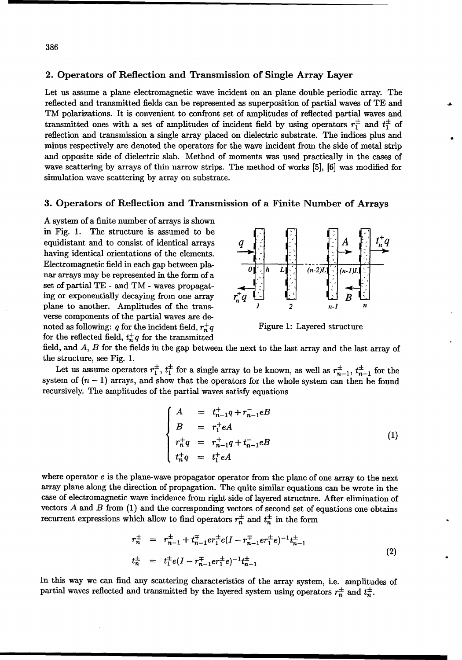#### 2. Operators of Reflection and Transmission of Single Array Layer

Let us assume a plane electromagnetic wave incident on an plane double periodic array. The reflected and transmitted fields can be represented as superposition of partial waves of TE and TM polarizations. It is convenient to confront set of amplitudes of reflected partial waves and transmitted ones with a set of amplitudes of incident field by using operators  $r_1^{\pm}$  and  $t_1^{\pm}$  of reflection and transmission a single array placed on dielectric substrate. The indices plus and minus respectively are denoted the operators for the wave incident from the side of metal strip and opposite side of dielectric slab. Method of moments was used practically in the cases of wave scattering by arrays of thin narrow strips. The method of works [5], [6] was modified for simulation wave scattering by array on substrate.

#### **3.** Operators of Reflection and Transmission of a Finite Number of Arrays

A system of a finite number of arrays is shown in Fig. 1. The structure is assumed to be equidistant and to consist of identical arrays having identical orientations of the elements. Electromagnetic field in each gap between planar arrays may be represented in the form of a  $\int_{0}^{1} \left| h - L \right| \right]^{n}$  (n-2)L set of partial TE - and TM - waves propagat*ing or exponentially decaying from one array* plane to another. Amplitudes of the transverse components of the partial waves are denoted as following: q for the incident field,  $r^+_{n}q$  Figure 1: Layered structure for the reflected field,  $t_n^+q$  for the transmitted



field, and *A, B* for the fields in the gap between the next to the last array and the last array of the structure, see Fig. 1.

Let us assume operators  $r_1^{\pm}$ ,  $t_1^{\pm}$  for a single array to be known, as well as  $r_{n-1}^{\pm}$ ,  $t_{n-1}^{\pm}$  for the system of  $(n - 1)$  arrays, and show that the operators for the whole system can then be found recursively. The amplitudes of the partial waves satisfy equations

$$
\begin{cases}\nA = t_{n-1}^+ q + r_{n-1}^- eB \\
B = r_1^+ eA \\
r_n^+ q = r_{n-1}^+ q + t_{n-1}^- eB \\
t_n^+ q = t_1^+ eA\n\end{cases}
$$
\n(1)

where operator e is the plane-wave propagator operator from the plane of one array to the next array plane along the direction of propagation. The quite similar equations can be wrote in the case of electromagnetic wave incidence from right side of layered structure. After elimination of vectors  $A$  and  $B$  from  $(1)$  and the corresponding vectors of second set of equations one obtains recurrent expressions which allow to find operators  $r_n^{\pm}$  and  $t_n^{\pm}$  in the form

$$
r_n^{\pm} = r_{n-1}^{\pm} + t_{n-1}^{\mp} e r_1^{\pm} e (I - r_{n-1}^{\mp} e)^{-1} t_{n-1}^{\pm}
$$
  
\n
$$
t_n^{\pm} = t_1^{\pm} e (I - r_{n-1}^{\mp} e)^{-1} t_{n-1}^{\pm}
$$
\n
$$
(2)
$$

In this way we can find any scattering characteristics of the array system, i.e. amplitudes of partial waves reflected and transmitted by the layered system using operators  $r_n^{\pm}$  and  $t_n^{\pm}$ .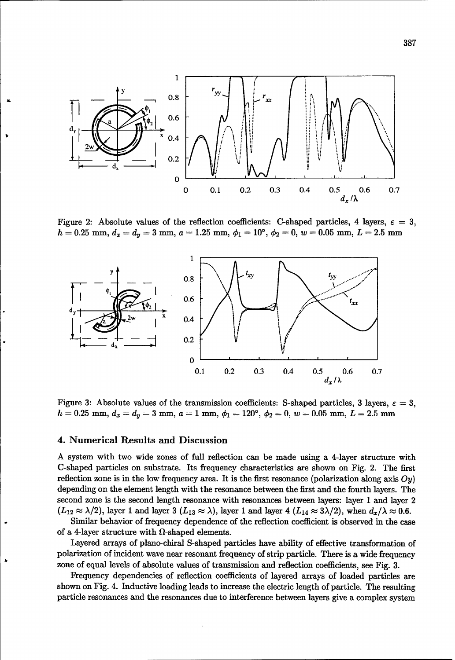

Figure 2: Absolute values of the reflection coefficients: C-shaped particles, 4 layers,  $\varepsilon = 3$ ,  $h = 0.25$  mm,  $d_x = d_y = 3$  mm,  $a = 1.25$  mm,  $\phi_1 = 10^{\circ}$ ,  $\phi_2 = 0$ ,  $w = 0.05$  mm,  $L = 2.5$  mm



Figure 3: Absolute values of the transmission coefficients: S-shaped particles, 3 layers,  $\varepsilon = 3$ ,  $h = 0.25$  mm,  $d_x = d_y = 3$  mm,  $a = 1$  mm,  $\phi_1 = 120^{\circ}$ ,  $\phi_2 = 0$ ,  $w = 0.05$  mm,  $L = 2.5$  mm

#### 4. Numerical Results and Discussion

A system with two wide zones of full reflection can be made using a 4-layer structure with C-shaped particles on substrate. Its frequency characteristics are shown on Fig. 2. The first reflection zone is in the low frequency area. It is the first resonance (polarization along axis  $Oy$ ) depending on the element length with the resonance between the first and the fourth layers. The second zone is the second length resonance with resonances between layers: layer 1 and layer 2  $(L_{12} \approx \lambda/2)$ , layer 1 and layer 3  $(L_{13} \approx \lambda)$ , layer 1 and layer 4  $(L_{14} \approx 3\lambda/2)$ , when  $d_x/\lambda \approx 0.6$ .

Similar behavior of frequency dependence of the reflection coefficient is observed in the case of a 4-layer structure with  $\Omega$ -shaped elements.

Layered arrays of plano-chiral S-shaped particles have ability of effective transformation of polarization of incident wave near resonant frequency of strip particle. There is a wide frequency zone of equal levels of absolute values of transmission and reflection coefficients, see Fig. 3.

Frequency dependencies of reflection coefficients of layered arrays of loaded particles are shown on Fig. 4. Inductive loading leads to increase the electric length of particle. The resulting particle resonances and the resonances due to interference between layers give a complex system